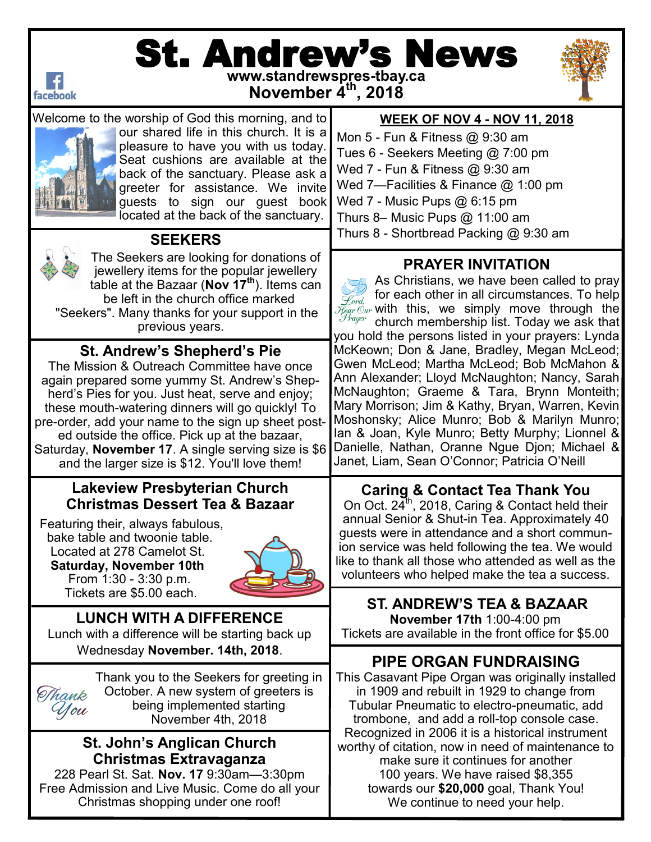

# St. Andrew's News **www.standrewspres-tbay.ca**

**November 4th, 2018**





Welcome to the worship of God this morning, and to our shared life in this church. It is a pleasure to have you with us today. Seat cushions are available at the back of the sanctuary. Please ask a greeter for assistance. We invite guests to sign our guest book located at the back of the sanctuary.



 **SEEKERS**

The Seekers are looking for donations of jewellery items for the popular jewellery table at the Bazaar (**Nov 17th**). Items can be left in the church office marked "Seekers". Many thanks for your support in the previous years.

## **St. Andrew's Shepherd's Pie**

The Mission & Outreach Committee have once again prepared some yummy St. Andrew's Shepherd's Pies for you. Just heat, serve and enjoy; these mouth-watering dinners will go quickly! To pre-order, add your name to the sign up sheet posted outside the office. Pick up at the bazaar, Saturday, **November 17**. A single serving size is \$6 and the larger size is \$12. You'll love them!

## **Lakeview Presbyterian Church Christmas Dessert Tea & Bazaar**

 Featuring their, always fabulous, bake table and twoonie table. Located at 278 Camelot St.  **Saturday, November 10th** From 1:30 - 3:30 p.m. Tickets are \$5.00 each.



**LUNCH WITH A DIFFERENCE** Lunch with a difference will be starting back up Wednesday **November. 14th, 2018**.

Thank you to the Seekers for greeting in October. A new system of greeters is Thank being implemented starting You November 4th, 2018

#### **St. John's Anglican Church Christmas Extravaganza**

228 Pearl St. Sat. **Nov. 17** 9:30am—3:30pm Free Admission and Live Music. Come do all your Christmas shopping under one roof!

## **WEEK OF NOV 4 - NOV 11, 2018**

Mon 5 - Fun & Fitness @ 9:30 am Tues 6 - Seekers Meeting @ 7:00 pm Wed 7 - Fun & Fitness @ 9:30 am Wed 7—Facilities & Finance @ 1:00 pm Wed 7 - Music Pups @ 6:15 pm Thurs 8– Music Pups @ 11:00 am Thurs 8 - Shortbread Packing @ 9:30 am

## **PRAYER INVITATION**

As Christians, we have been called to pray for each other in all circumstances. To help Lord. with this, we simply move through the church membership list. Today we ask that you hold the persons listed in your prayers: Lynda McKeown; Don & Jane, Bradley, Megan McLeod; Gwen McLeod; Martha McLeod; Bob McMahon & Ann Alexander; Lloyd McNaughton; Nancy, Sarah McNaughton; Graeme & Tara, Brynn Monteith; Mary Morrison; Jim & Kathy, Bryan, Warren, Kevin Moshonsky; Alice Munro; Bob & Marilyn Munro; Ian & Joan, Kyle Munro; Betty Murphy; Lionnel & Danielle, Nathan, Oranne Ngue Djon; Michael & Janet, Liam, Sean O'Connor; Patricia O'Neill

#### **Caring & Contact Tea Thank You**

On Oct.  $24^{\text{th}}$ , 2018, Caring & Contact held their annual Senior & Shut-in Tea. Approximately 40 guests were in attendance and a short communion service was held following the tea. We would like to thank all those who attended as well as the volunteers who helped make the tea a success.

# **ST. ANDREW'S TEA & BAZAAR**

**November 17th** 1:00-4:00 pm Tickets are available in the front office for \$5.00

# **PIPE ORGAN FUNDRAISING**

This Casavant Pipe Organ was originally installed in 1909 and rebuilt in 1929 to change from Tubular Pneumatic to electro-pneumatic, add trombone, and add a roll-top console case. Recognized in 2006 it is a historical instrument worthy of citation, now in need of maintenance to make sure it continues for another 100 years. We have raised \$8,355 towards our **\$20,000** goal, Thank You! We continue to need your help.